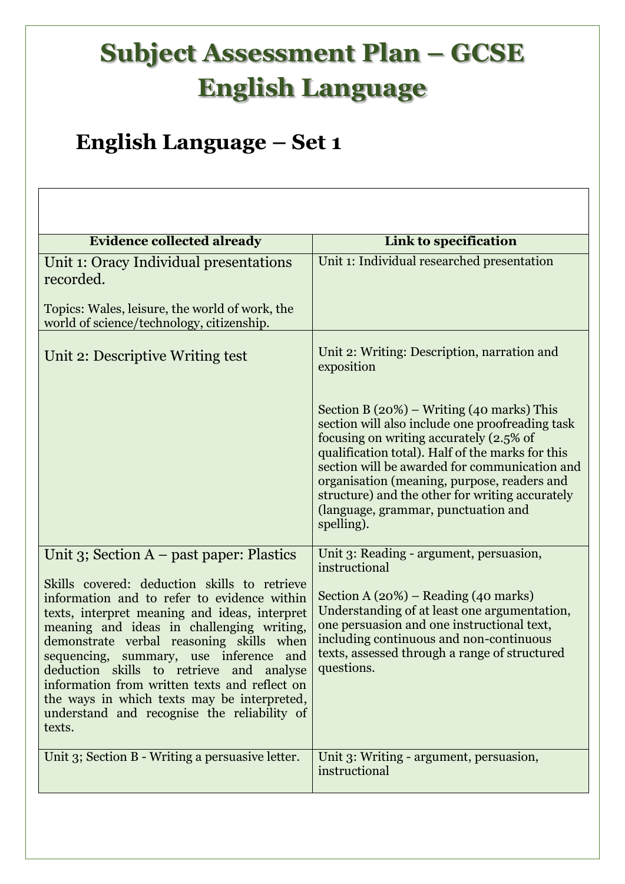## **Subject Assessment Plan – GCSE English Language**

## **English Language – Set 1**

| <b>Evidence collected already</b>                                                                                                                                                                                                                                                                                                                                                                                                                                                                                                        | Link to specification                                                                                                                                                                                                                                                                                                                                                                                           |
|------------------------------------------------------------------------------------------------------------------------------------------------------------------------------------------------------------------------------------------------------------------------------------------------------------------------------------------------------------------------------------------------------------------------------------------------------------------------------------------------------------------------------------------|-----------------------------------------------------------------------------------------------------------------------------------------------------------------------------------------------------------------------------------------------------------------------------------------------------------------------------------------------------------------------------------------------------------------|
| Unit 1: Oracy Individual presentations<br>recorded.<br>Topics: Wales, leisure, the world of work, the<br>world of science/technology, citizenship.                                                                                                                                                                                                                                                                                                                                                                                       | Unit 1: Individual researched presentation                                                                                                                                                                                                                                                                                                                                                                      |
| Unit 2: Descriptive Writing test                                                                                                                                                                                                                                                                                                                                                                                                                                                                                                         | Unit 2: Writing: Description, narration and<br>exposition                                                                                                                                                                                                                                                                                                                                                       |
|                                                                                                                                                                                                                                                                                                                                                                                                                                                                                                                                          | Section B $(20%)$ – Writing $(40 \text{ marks})$ This<br>section will also include one proofreading task<br>focusing on writing accurately (2.5% of<br>qualification total). Half of the marks for this<br>section will be awarded for communication and<br>organisation (meaning, purpose, readers and<br>structure) and the other for writing accurately<br>(language, grammar, punctuation and<br>spelling). |
| Unit 3; Section $A$ – past paper: Plastics<br>Skills covered: deduction skills to retrieve<br>information and to refer to evidence within<br>texts, interpret meaning and ideas, interpret<br>meaning and ideas in challenging writing,<br>demonstrate verbal reasoning skills when<br>sequencing, summary, use inference and<br>deduction skills to retrieve<br>and<br>analyse<br>information from written texts and reflect on<br>the ways in which texts may be interpreted,<br>understand and recognise the reliability of<br>texts. | Unit 3: Reading - argument, persuasion,<br>instructional<br>Section A $(20%)$ – Reading $(40 \text{ marks})$<br>Understanding of at least one argumentation,<br>one persuasion and one instructional text,<br>including continuous and non-continuous<br>texts, assessed through a range of structured<br>questions.                                                                                            |
| Unit 3; Section B - Writing a persuasive letter.                                                                                                                                                                                                                                                                                                                                                                                                                                                                                         | Unit 3: Writing - argument, persuasion,<br>instructional                                                                                                                                                                                                                                                                                                                                                        |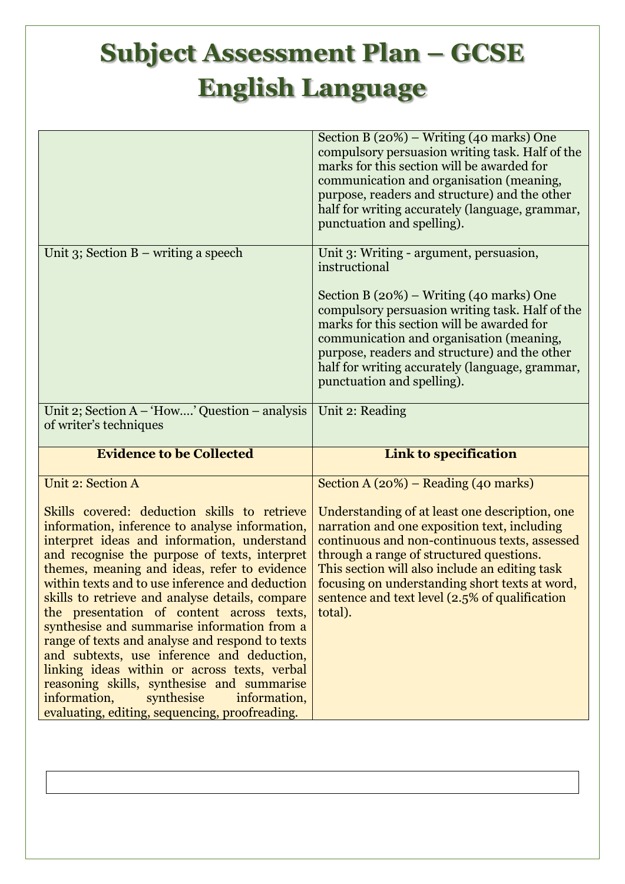## **Subject Assessment Plan – GCSE English Language**

|                                                                                                                                                                                                                                                                                                                                                                                                                                                                                                                                                                                                                                                                                                                           | Section B $(20\%)$ – Writing $(40 \text{ marks})$ One<br>compulsory persuasion writing task. Half of the<br>marks for this section will be awarded for<br>communication and organisation (meaning,<br>purpose, readers and structure) and the other<br>half for writing accurately (language, grammar,<br>punctuation and spelling).                                                                  |
|---------------------------------------------------------------------------------------------------------------------------------------------------------------------------------------------------------------------------------------------------------------------------------------------------------------------------------------------------------------------------------------------------------------------------------------------------------------------------------------------------------------------------------------------------------------------------------------------------------------------------------------------------------------------------------------------------------------------------|-------------------------------------------------------------------------------------------------------------------------------------------------------------------------------------------------------------------------------------------------------------------------------------------------------------------------------------------------------------------------------------------------------|
| Unit 3; Section $B$ – writing a speech                                                                                                                                                                                                                                                                                                                                                                                                                                                                                                                                                                                                                                                                                    | Unit 3: Writing - argument, persuasion,<br>instructional<br>Section B $(20%)$ – Writing $(40 \text{ marks})$ One<br>compulsory persuasion writing task. Half of the<br>marks for this section will be awarded for<br>communication and organisation (meaning,<br>purpose, readers and structure) and the other<br>half for writing accurately (language, grammar,<br>punctuation and spelling).       |
| Unit 2; Section A - 'How' Question - analysis<br>of writer's techniques                                                                                                                                                                                                                                                                                                                                                                                                                                                                                                                                                                                                                                                   | Unit 2: Reading                                                                                                                                                                                                                                                                                                                                                                                       |
| <b>Evidence to be Collected</b>                                                                                                                                                                                                                                                                                                                                                                                                                                                                                                                                                                                                                                                                                           | <b>Link to specification</b>                                                                                                                                                                                                                                                                                                                                                                          |
| <b>Unit 2: Section A</b><br>Skills covered: deduction skills to retrieve<br>information, inference to analyse information,<br>interpret ideas and information, understand<br>and recognise the purpose of texts, interpret<br>themes, meaning and ideas, refer to evidence<br>within texts and to use inference and deduction<br>skills to retrieve and analyse details, compare<br>the presentation of content across texts,<br>synthesise and summarise information from a<br>range of texts and analyse and respond to texts<br>and subtexts, use inference and deduction,<br>linking ideas within or across texts, verbal<br>reasoning skills, synthesise and summarise<br>information,<br>synthesise<br>information, | Section $A(20%)$ – Reading (40 marks)<br>Understanding of at least one description, one<br>narration and one exposition text, including<br>continuous and non-continuous texts, assessed<br>through a range of structured questions.<br>This section will also include an editing task<br>focusing on understanding short texts at word,<br>sentence and text level (2.5% of qualification<br>total). |